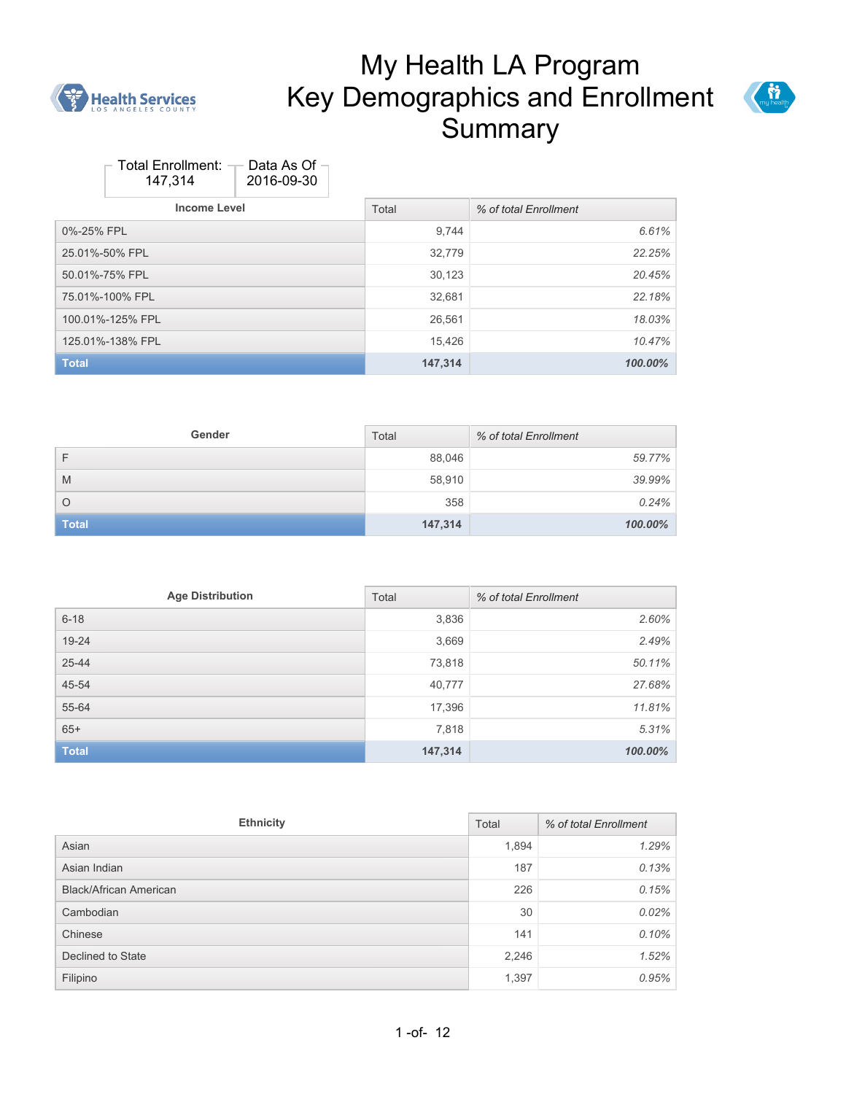



| Total Enrollment: | Data As Of |
|-------------------|------------|
| 147,314           | 2016-09-30 |

| <b>Income Level</b> | Total   | % of total Enrollment |
|---------------------|---------|-----------------------|
| 0%-25% FPL          | 9,744   | 6.61%                 |
| 25.01%-50% FPL      | 32,779  | 22.25%                |
| 50.01%-75% FPL      | 30,123  | 20.45%                |
| 75.01%-100% FPL     | 32,681  | 22.18%                |
| 100.01%-125% FPL    | 26,561  | 18.03%                |
| 125.01%-138% FPL    | 15,426  | 10.47%                |
| <b>Total</b>        | 147,314 | 100.00%               |

| Gender       | Total   | % of total Enrollment |
|--------------|---------|-----------------------|
| F            | 88,046  | 59.77%                |
| M            | 58,910  | 39.99%                |
| $\circ$      | 358     | 0.24%                 |
| <b>Total</b> | 147,314 | 100.00%               |

| <b>Age Distribution</b> | Total   | % of total Enrollment |
|-------------------------|---------|-----------------------|
| $6 - 18$                | 3,836   | 2.60%                 |
| $19 - 24$               | 3,669   | 2.49%                 |
| $25 - 44$               | 73,818  | 50.11%                |
| 45-54                   | 40,777  | 27.68%                |
| 55-64                   | 17,396  | 11.81%                |
| $65+$                   | 7,818   | 5.31%                 |
| <b>Total</b>            | 147,314 | 100.00%               |

| <b>Ethnicity</b>              |       | % of total Enrollment |
|-------------------------------|-------|-----------------------|
| Asian                         | 1,894 | 1.29%                 |
| Asian Indian                  | 187   | 0.13%                 |
| <b>Black/African American</b> | 226   | 0.15%                 |
| Cambodian                     | 30    | 0.02%                 |
| Chinese                       | 141   | 0.10%                 |
| Declined to State             | 2,246 | 1.52%                 |
| Filipino                      | 1,397 | 0.95%                 |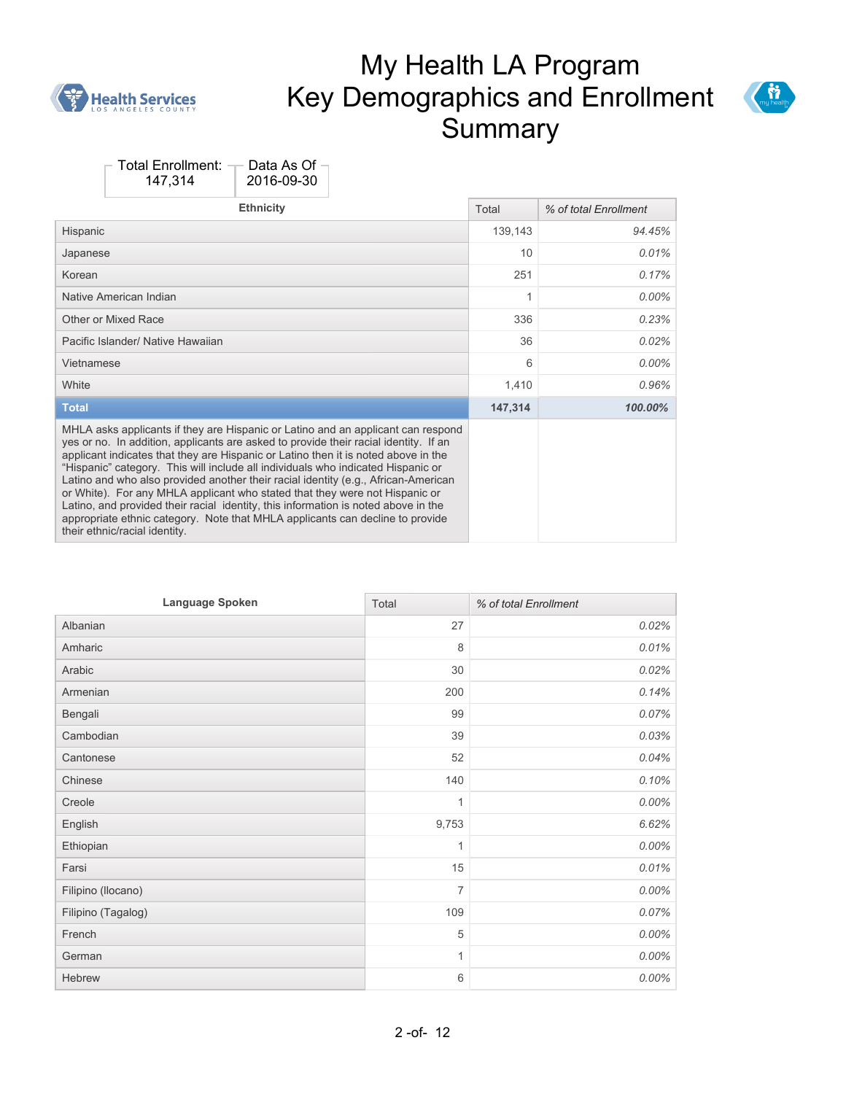



| <b>Ethnicity</b>                                                                                                                                                                                                                                                                                                                                                                                                                                                                                                                                                                                                                                                                                                                | Total   | % of total Enrollment |
|---------------------------------------------------------------------------------------------------------------------------------------------------------------------------------------------------------------------------------------------------------------------------------------------------------------------------------------------------------------------------------------------------------------------------------------------------------------------------------------------------------------------------------------------------------------------------------------------------------------------------------------------------------------------------------------------------------------------------------|---------|-----------------------|
| Hispanic                                                                                                                                                                                                                                                                                                                                                                                                                                                                                                                                                                                                                                                                                                                        | 139,143 | 94.45%                |
| Japanese                                                                                                                                                                                                                                                                                                                                                                                                                                                                                                                                                                                                                                                                                                                        | 10      | 0.01%                 |
| Korean                                                                                                                                                                                                                                                                                                                                                                                                                                                                                                                                                                                                                                                                                                                          | 251     | 0.17%                 |
| Native American Indian                                                                                                                                                                                                                                                                                                                                                                                                                                                                                                                                                                                                                                                                                                          | 1       | $0.00\%$              |
| Other or Mixed Race                                                                                                                                                                                                                                                                                                                                                                                                                                                                                                                                                                                                                                                                                                             | 336     | 0.23%                 |
| Pacific Islander/ Native Hawaiian                                                                                                                                                                                                                                                                                                                                                                                                                                                                                                                                                                                                                                                                                               | 36      | 0.02%                 |
| Vietnamese                                                                                                                                                                                                                                                                                                                                                                                                                                                                                                                                                                                                                                                                                                                      | 6       | $0.00\%$              |
| White                                                                                                                                                                                                                                                                                                                                                                                                                                                                                                                                                                                                                                                                                                                           | 1,410   | 0.96%                 |
| <b>Total</b>                                                                                                                                                                                                                                                                                                                                                                                                                                                                                                                                                                                                                                                                                                                    | 147,314 | 100.00%               |
| MHLA asks applicants if they are Hispanic or Latino and an applicant can respond<br>yes or no. In addition, applicants are asked to provide their racial identity. If an<br>applicant indicates that they are Hispanic or Latino then it is noted above in the<br>"Hispanic" category. This will include all individuals who indicated Hispanic or<br>Latino and who also provided another their racial identity (e.g., African-American<br>or White). For any MHLA applicant who stated that they were not Hispanic or<br>Latino, and provided their racial identity, this information is noted above in the<br>appropriate ethnic category. Note that MHLA applicants can decline to provide<br>their ethnic/racial identity. |         |                       |

| Language Spoken    | Total          | % of total Enrollment |
|--------------------|----------------|-----------------------|
| Albanian           | 27             | 0.02%                 |
| Amharic            | 8              | 0.01%                 |
| Arabic             | 30             | 0.02%                 |
| Armenian           | 200            | 0.14%                 |
| Bengali            | 99             | 0.07%                 |
| Cambodian          | 39             | 0.03%                 |
| Cantonese          | 52             | 0.04%                 |
| Chinese            | 140            | 0.10%                 |
| Creole             | 1              | $0.00\%$              |
| English            | 9,753          | 6.62%                 |
| Ethiopian          | $\mathbf{1}$   | 0.00%                 |
| Farsi              | 15             | 0.01%                 |
| Filipino (Ilocano) | $\overline{7}$ | 0.00%                 |
| Filipino (Tagalog) | 109            | 0.07%                 |
| French             | 5              | $0.00\%$              |
| German             | $\mathbf{1}$   | $0.00\%$              |
| Hebrew             | 6              | 0.00%                 |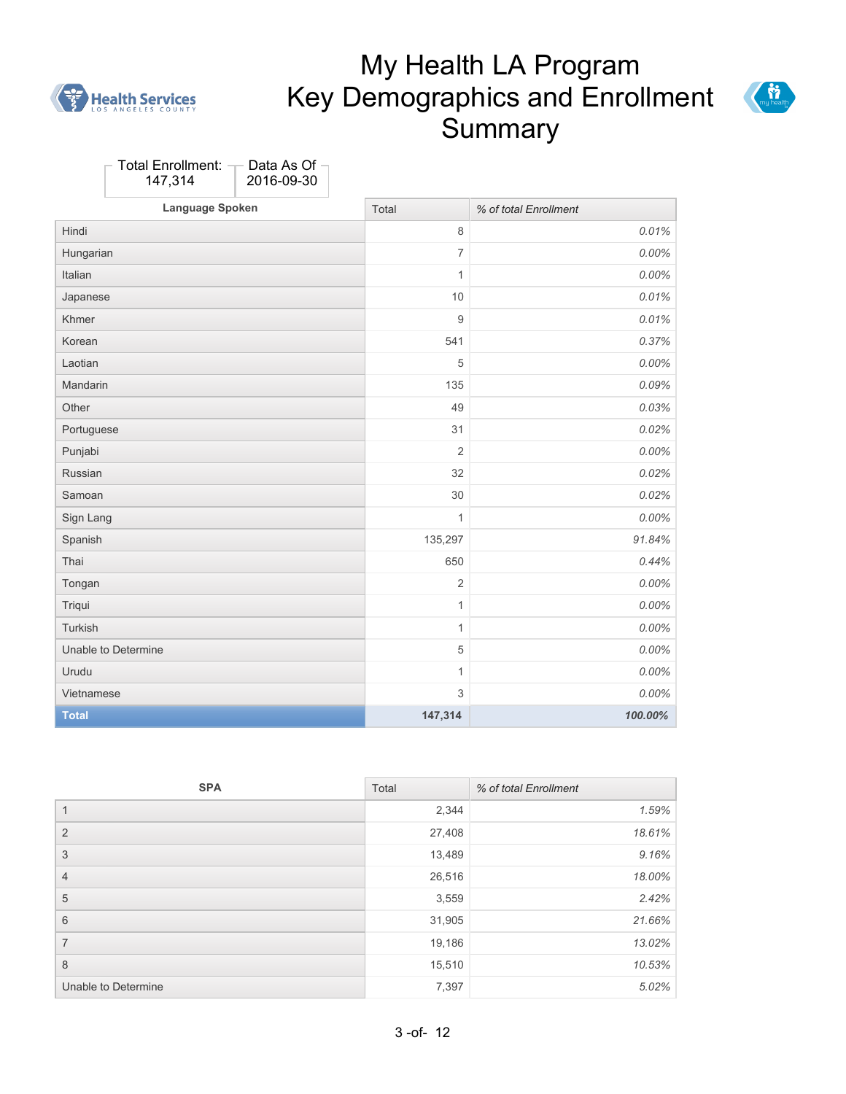



| Total Enrollment: $\neg$<br>147,314 | Data As Of<br>2016-09-30 |                           |                       |
|-------------------------------------|--------------------------|---------------------------|-----------------------|
| Language Spoken                     |                          | Total                     | % of total Enrollment |
| Hindi                               |                          | $\,8\,$                   | 0.01%                 |
| Hungarian                           |                          | $\overline{7}$            | $0.00\%$              |
| Italian                             |                          | $\mathbf{1}$              | 0.00%                 |
| Japanese                            |                          | 10                        | 0.01%                 |
| Khmer                               |                          | $\overline{9}$            | 0.01%                 |
| Korean                              |                          | 541                       | 0.37%                 |
| Laotian                             |                          | 5                         | 0.00%                 |
| Mandarin                            |                          | 135                       | 0.09%                 |
| Other                               |                          | 49                        | 0.03%                 |
| Portuguese                          |                          | 31                        | 0.02%                 |
| Punjabi                             |                          | $\overline{2}$            | 0.00%                 |
| Russian                             |                          | 32                        | 0.02%                 |
| Samoan                              |                          | 30                        | 0.02%                 |
| Sign Lang                           |                          | $\mathbf{1}$              | 0.00%                 |
| Spanish                             |                          | 135,297                   | 91.84%                |
| Thai                                |                          | 650                       | 0.44%                 |
| Tongan                              |                          | $\overline{2}$            | 0.00%                 |
| Triqui                              |                          | 1                         | 0.00%                 |
| Turkish                             |                          | $\mathbf{1}$              | $0.00\%$              |
| Unable to Determine                 |                          | $\sqrt{5}$                | 0.00%                 |
| Urudu                               |                          | 1                         | $0.00\%$              |
| Vietnamese                          |                          | $\ensuremath{\mathsf{3}}$ | 0.00%                 |
| <b>Total</b>                        |                          | 147,314                   | 100.00%               |

| <b>SPA</b>          | Total  | % of total Enrollment |
|---------------------|--------|-----------------------|
| 1                   | 2,344  | 1.59%                 |
| 2                   | 27,408 | 18.61%                |
| 3                   | 13,489 | 9.16%                 |
| $\overline{4}$      | 26,516 | 18.00%                |
| 5                   | 3,559  | 2.42%                 |
| 6                   | 31,905 | 21.66%                |
| $\overline{7}$      | 19,186 | 13.02%                |
| 8                   | 15,510 | 10.53%                |
| Unable to Determine | 7,397  | 5.02%                 |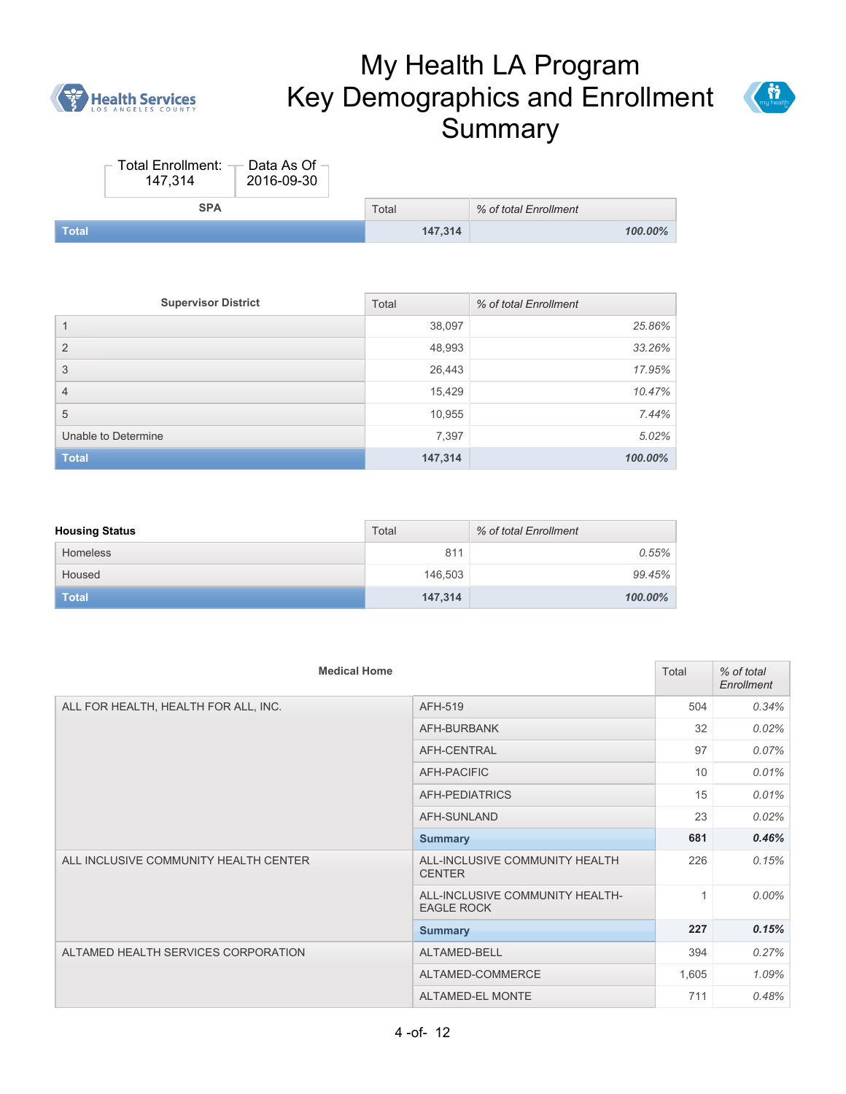



|              | Total Enrollment: - Data As Of -<br>147.314 | 2016-09-30 |         |                       |         |
|--------------|---------------------------------------------|------------|---------|-----------------------|---------|
|              | <b>SPA</b>                                  |            | Total   | % of total Enrollment |         |
| <b>Total</b> |                                             |            | 147.314 |                       | 100.00% |

| <b>Supervisor District</b> | Total   | % of total Enrollment |
|----------------------------|---------|-----------------------|
|                            | 38,097  | 25.86%                |
| $\overline{2}$             | 48,993  | 33.26%                |
| 3                          | 26,443  | 17.95%                |
| $\overline{4}$             | 15,429  | 10.47%                |
| 5                          | 10,955  | 7.44%                 |
| Unable to Determine        | 7,397   | 5.02%                 |
| <b>Total</b>               | 147,314 | 100.00%               |

| <b>Housing Status</b> | Total   | % of total Enrollment |
|-----------------------|---------|-----------------------|
| <b>Homeless</b>       | 811     | 0.55%                 |
| Housed                | 146.503 | 99.45%                |
| <b>Total</b>          | 147,314 | 100.00%               |

| <b>Medical Home</b>                   |                                                      | Total | % of total<br>Enrollment |
|---------------------------------------|------------------------------------------------------|-------|--------------------------|
| ALL FOR HEALTH, HEALTH FOR ALL, INC.  | AFH-519                                              | 504   | 0.34%                    |
|                                       | AFH-BURBANK                                          | 32    | 0.02%                    |
|                                       | AFH-CENTRAL                                          | 97    | 0.07%                    |
|                                       | AFH-PACIFIC                                          | 10    | 0.01%                    |
|                                       | AFH-PEDIATRICS                                       | 15    | 0.01%                    |
|                                       | AFH-SUNLAND                                          | 23    | 0.02%                    |
|                                       | <b>Summary</b>                                       | 681   | 0.46%                    |
| ALL INCLUSIVE COMMUNITY HEALTH CENTER | ALL-INCLUSIVE COMMUNITY HEALTH<br><b>CENTER</b>      | 226   | 0.15%                    |
|                                       | ALL-INCLUSIVE COMMUNITY HEALTH-<br><b>EAGLE ROCK</b> | 1     | $0.00\%$                 |
|                                       | <b>Summary</b>                                       | 227   | 0.15%                    |
| ALTAMED HEALTH SERVICES CORPORATION   | ALTAMED-BELL                                         | 394   | 0.27%                    |
|                                       | ALTAMED-COMMERCE                                     | 1,605 | 1.09%                    |
|                                       | ALTAMED-EL MONTE                                     | 711   | 0.48%                    |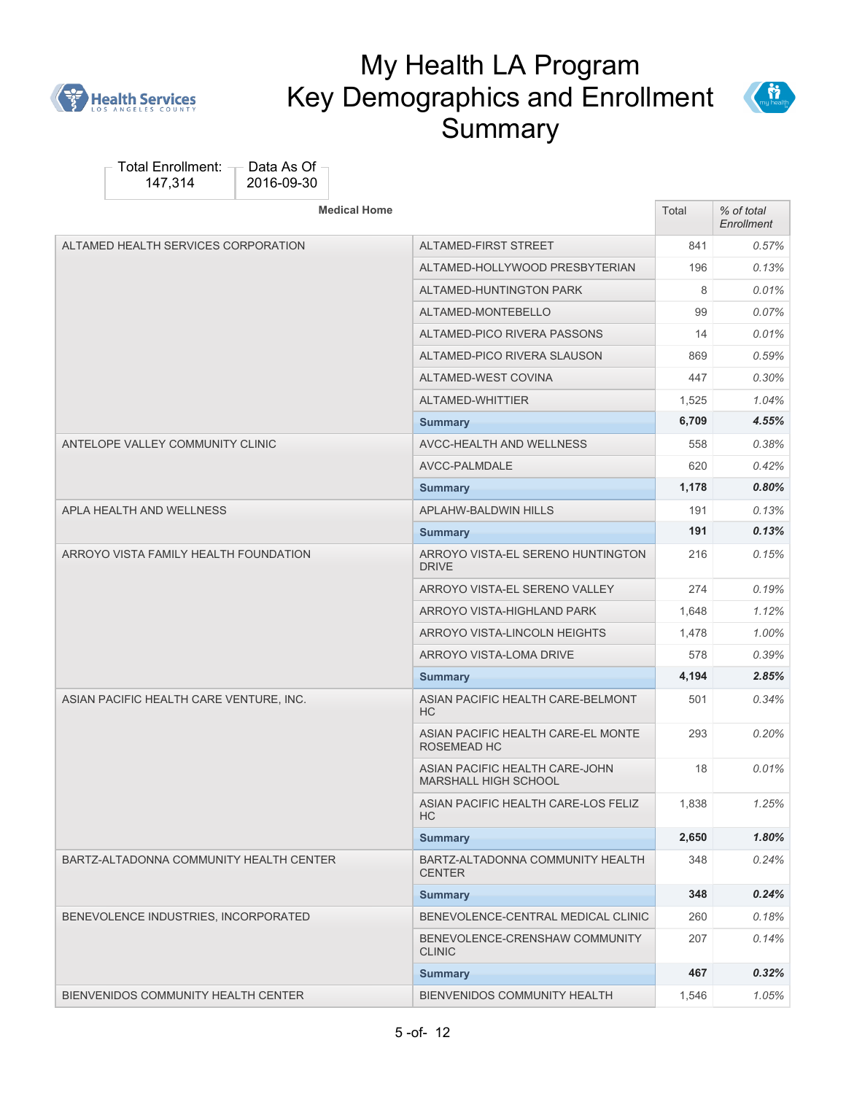



| <b>Medical Home</b>                     |                                                        | Total | % of total<br>Enrollment |
|-----------------------------------------|--------------------------------------------------------|-------|--------------------------|
| ALTAMED HEALTH SERVICES CORPORATION     | ALTAMED-FIRST STREET                                   | 841   | 0.57%                    |
|                                         | ALTAMED-HOLLYWOOD PRESBYTERIAN                         | 196   | 0.13%                    |
|                                         | ALTAMED-HUNTINGTON PARK                                | 8     | 0.01%                    |
|                                         | ALTAMED-MONTEBELLO                                     | 99    | $0.07\%$                 |
|                                         | ALTAMED-PICO RIVERA PASSONS                            | 14    | $0.01\%$                 |
|                                         | ALTAMED-PICO RIVERA SLAUSON                            | 869   | 0.59%                    |
|                                         | ALTAMED-WEST COVINA                                    | 447   | $0.30\%$                 |
|                                         | ALTAMED-WHITTIER                                       | 1,525 | 1.04%                    |
|                                         | <b>Summary</b>                                         | 6,709 | 4.55%                    |
| ANTELOPE VALLEY COMMUNITY CLINIC        | AVCC-HEALTH AND WELLNESS                               | 558   | 0.38%                    |
|                                         | AVCC-PALMDALE                                          | 620   | 0.42%                    |
|                                         | <b>Summary</b>                                         | 1,178 | 0.80%                    |
| APLA HEALTH AND WELLNESS                | <b>APLAHW-BALDWIN HILLS</b>                            | 191   | 0.13%                    |
|                                         | <b>Summary</b>                                         | 191   | 0.13%                    |
| ARROYO VISTA FAMILY HEALTH FOUNDATION   | ARROYO VISTA-EL SERENO HUNTINGTON<br><b>DRIVE</b>      | 216   | 0.15%                    |
|                                         | ARROYO VISTA-EL SERENO VALLEY                          | 274   | 0.19%                    |
|                                         | ARROYO VISTA-HIGHLAND PARK                             | 1,648 | 1.12%                    |
|                                         | ARROYO VISTA-LINCOLN HEIGHTS                           | 1,478 | 1.00%                    |
|                                         | ARROYO VISTA-LOMA DRIVE                                | 578   | 0.39%                    |
|                                         | <b>Summary</b>                                         | 4,194 | 2.85%                    |
| ASIAN PACIFIC HEALTH CARE VENTURE, INC. | ASIAN PACIFIC HEALTH CARE-BELMONT<br><b>HC</b>         | 501   | 0.34%                    |
|                                         | ASIAN PACIFIC HEALTH CARE-EL MONTE<br>ROSEMEAD HC      | 293   | $0.20\%$                 |
|                                         | ASIAN PACIFIC HEALTH CARE-JOHN<br>MARSHALL HIGH SCHOOL | 18    | 0.01%                    |
|                                         | ASIAN PACIFIC HEALTH CARE-LOS FELIZ<br>HС              | 1,838 | 1.25%                    |
|                                         | <b>Summary</b>                                         | 2,650 | 1.80%                    |
| BARTZ-ALTADONNA COMMUNITY HEALTH CENTER | BARTZ-ALTADONNA COMMUNITY HEALTH<br><b>CENTER</b>      | 348   | 0.24%                    |
|                                         | <b>Summary</b>                                         | 348   | 0.24%                    |
| BENEVOLENCE INDUSTRIES, INCORPORATED    | BENEVOLENCE-CENTRAL MEDICAL CLINIC                     | 260   | 0.18%                    |
|                                         | BENEVOLENCE-CRENSHAW COMMUNITY<br><b>CLINIC</b>        | 207   | 0.14%                    |
|                                         | <b>Summary</b>                                         | 467   | 0.32%                    |
| BIENVENIDOS COMMUNITY HEALTH CENTER     | BIENVENIDOS COMMUNITY HEALTH                           | 1,546 | 1.05%                    |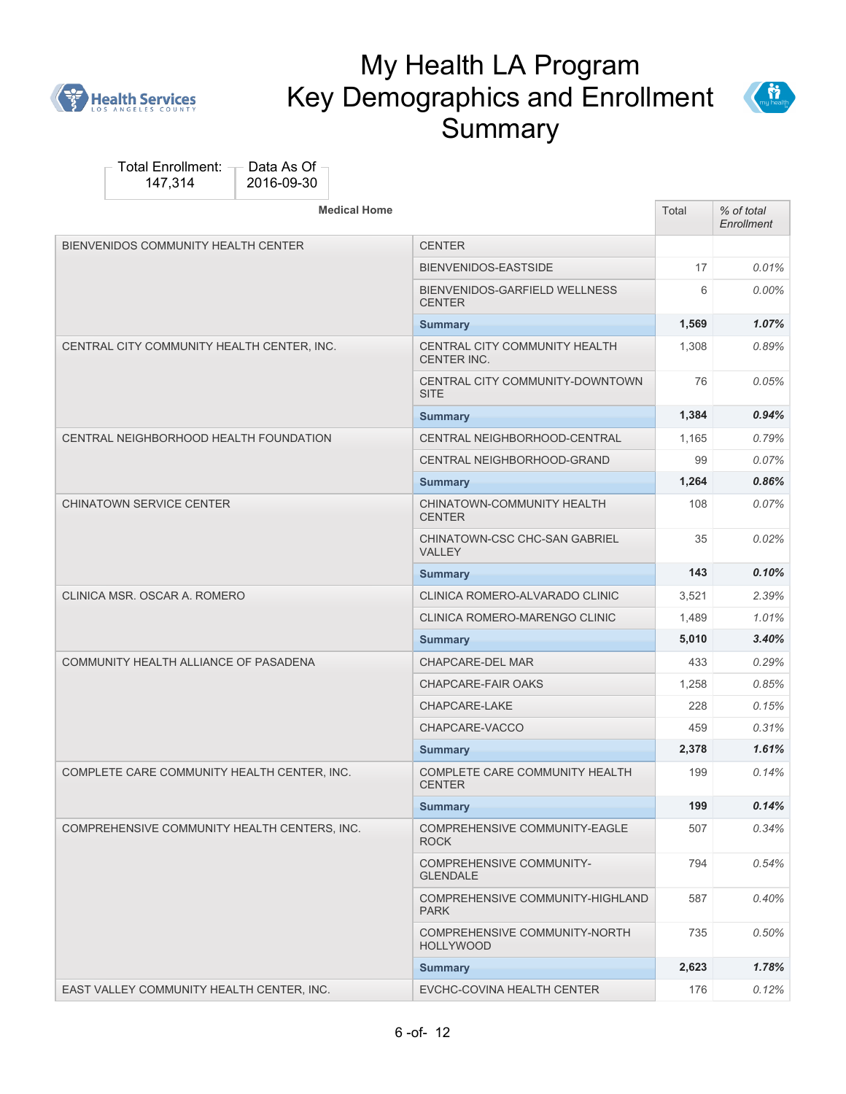



| <b>Medical Home</b>                          |                                                     | Total | % of total<br>Enrollment |
|----------------------------------------------|-----------------------------------------------------|-------|--------------------------|
| BIENVENIDOS COMMUNITY HEALTH CENTER          | <b>CENTER</b>                                       |       |                          |
|                                              | BIENVENIDOS-EASTSIDE                                | 17    | $0.01\%$                 |
|                                              | BIENVENIDOS-GARFIELD WELLNESS<br><b>CENTER</b>      | 6     | $0.00\%$                 |
|                                              | <b>Summary</b>                                      | 1,569 | 1.07%                    |
| CENTRAL CITY COMMUNITY HEALTH CENTER, INC.   | CENTRAL CITY COMMUNITY HEALTH<br><b>CENTER INC.</b> | 1,308 | 0.89%                    |
|                                              | CENTRAL CITY COMMUNITY-DOWNTOWN<br><b>SITE</b>      | 76    | 0.05%                    |
|                                              | <b>Summary</b>                                      | 1,384 | 0.94%                    |
| CENTRAL NEIGHBORHOOD HEALTH FOUNDATION       | CENTRAL NEIGHBORHOOD-CENTRAL                        | 1,165 | 0.79%                    |
|                                              | CENTRAL NEIGHBORHOOD-GRAND                          | 99    | 0.07%                    |
|                                              | <b>Summary</b>                                      | 1,264 | 0.86%                    |
| <b>CHINATOWN SERVICE CENTER</b>              | CHINATOWN-COMMUNITY HEALTH<br><b>CENTER</b>         | 108   | 0.07%                    |
|                                              | CHINATOWN-CSC CHC-SAN GABRIEL<br><b>VALLEY</b>      | 35    | 0.02%                    |
|                                              | <b>Summary</b>                                      | 143   | 0.10%                    |
| CLINICA MSR. OSCAR A. ROMERO                 | CLINICA ROMERO-ALVARADO CLINIC                      | 3,521 | 2.39%                    |
|                                              | CLINICA ROMERO-MARENGO CLINIC                       | 1,489 | 1.01%                    |
|                                              | <b>Summary</b>                                      | 5,010 | 3.40%                    |
| COMMUNITY HEALTH ALLIANCE OF PASADENA        | <b>CHAPCARE-DEL MAR</b>                             | 433   | 0.29%                    |
|                                              | <b>CHAPCARE-FAIR OAKS</b>                           | 1,258 | 0.85%                    |
|                                              | CHAPCARE-LAKE                                       | 228   | 0.15%                    |
|                                              | CHAPCARE-VACCO                                      | 459   | 0.31%                    |
|                                              | <b>Summary</b>                                      | 2,378 | 1.61%                    |
| COMPLETE CARE COMMUNITY HEALTH CENTER, INC.  | COMPLETE CARE COMMUNITY HEALTH<br><b>CENTER</b>     | 199   | 0.14%                    |
|                                              | <b>Summary</b>                                      | 199   | 0.14%                    |
| COMPREHENSIVE COMMUNITY HEALTH CENTERS, INC. | COMPREHENSIVE COMMUNITY-EAGLE<br><b>ROCK</b>        | 507   | 0.34%                    |
|                                              | <b>COMPREHENSIVE COMMUNITY-</b><br><b>GLENDALE</b>  | 794   | 0.54%                    |
|                                              | COMPREHENSIVE COMMUNITY-HIGHLAND<br><b>PARK</b>     | 587   | 0.40%                    |
|                                              | COMPREHENSIVE COMMUNITY-NORTH<br><b>HOLLYWOOD</b>   | 735   | 0.50%                    |
|                                              | <b>Summary</b>                                      | 2,623 | 1.78%                    |
| EAST VALLEY COMMUNITY HEALTH CENTER, INC.    | EVCHC-COVINA HEALTH CENTER                          | 176   | 0.12%                    |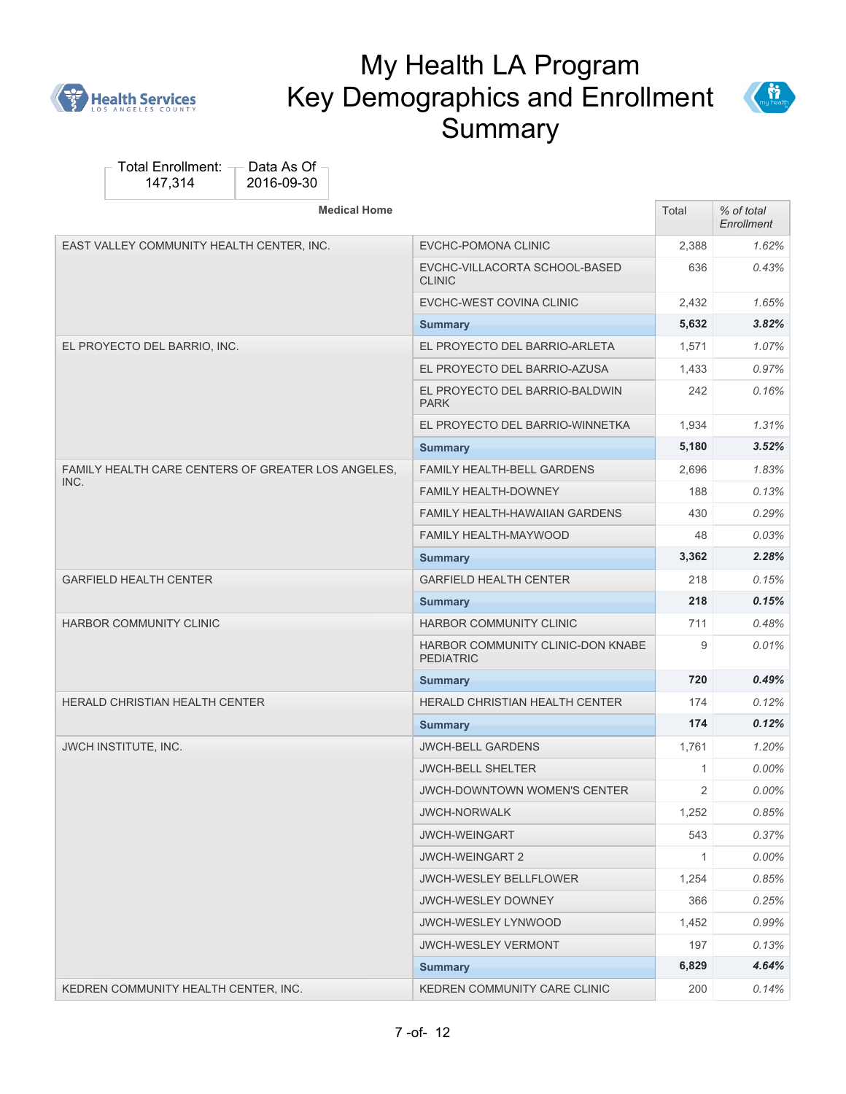



| <b>Medical Home</b>                                |                                                       | Total | % of total<br>Enrollment |
|----------------------------------------------------|-------------------------------------------------------|-------|--------------------------|
| EAST VALLEY COMMUNITY HEALTH CENTER, INC.          | EVCHC-POMONA CLINIC                                   | 2,388 | 1.62%                    |
|                                                    | EVCHC-VILLACORTA SCHOOL-BASED<br><b>CLINIC</b>        | 636   | 0.43%                    |
|                                                    | EVCHC-WEST COVINA CLINIC                              | 2.432 | 1.65%                    |
|                                                    | <b>Summary</b>                                        | 5,632 | 3.82%                    |
| EL PROYECTO DEL BARRIO, INC.                       | EL PROYECTO DEL BARRIO-ARLETA                         | 1,571 | 1.07%                    |
|                                                    | EL PROYECTO DEL BARRIO-AZUSA                          | 1,433 | 0.97%                    |
|                                                    | EL PROYECTO DEL BARRIO-BALDWIN<br><b>PARK</b>         | 242   | 0.16%                    |
|                                                    | EL PROYECTO DEL BARRIO-WINNETKA                       | 1,934 | 1.31%                    |
|                                                    | <b>Summary</b>                                        | 5,180 | 3.52%                    |
| FAMILY HEALTH CARE CENTERS OF GREATER LOS ANGELES, | <b>FAMILY HEALTH-BELL GARDENS</b>                     | 2,696 | 1.83%                    |
| INC.                                               | <b>FAMILY HEALTH-DOWNEY</b>                           | 188   | 0.13%                    |
|                                                    | <b>FAMILY HEALTH-HAWAIIAN GARDENS</b>                 | 430   | 0.29%                    |
|                                                    | <b>FAMILY HEALTH-MAYWOOD</b>                          | 48    | 0.03%                    |
|                                                    | <b>Summary</b>                                        | 3,362 | 2.28%                    |
| <b>GARFIELD HEALTH CENTER</b>                      | <b>GARFIELD HEALTH CENTER</b>                         | 218   | 0.15%                    |
|                                                    | <b>Summary</b>                                        | 218   | 0.15%                    |
| HARBOR COMMUNITY CLINIC                            | HARBOR COMMUNITY CLINIC                               | 711   | 0.48%                    |
|                                                    | HARBOR COMMUNITY CLINIC-DON KNABE<br><b>PEDIATRIC</b> | 9     | 0.01%                    |
|                                                    | <b>Summary</b>                                        | 720   | 0.49%                    |
| <b>HERALD CHRISTIAN HEALTH CENTER</b>              | <b>HERALD CHRISTIAN HEALTH CENTER</b>                 | 174   | 0.12%                    |
|                                                    | <b>Summary</b>                                        | 174   | 0.12%                    |
| JWCH INSTITUTE, INC.                               | <b>JWCH-BELL GARDENS</b>                              | 1,761 | 1.20%                    |
|                                                    | <b>JWCH-BELL SHELTER</b>                              | 1     | 0.00%                    |
|                                                    | <b>JWCH-DOWNTOWN WOMEN'S CENTER</b>                   | 2     | $0.00\%$                 |
|                                                    | <b>JWCH-NORWALK</b>                                   | 1,252 | 0.85%                    |
|                                                    | <b>JWCH-WEINGART</b>                                  | 543   | 0.37%                    |
|                                                    | <b>JWCH-WEINGART 2</b>                                | 1     | $0.00\%$                 |
|                                                    | <b>JWCH-WESLEY BELLFLOWER</b>                         | 1,254 | 0.85%                    |
|                                                    | <b>JWCH-WESLEY DOWNEY</b>                             | 366   | 0.25%                    |
|                                                    | <b>JWCH-WESLEY LYNWOOD</b>                            | 1,452 | 0.99%                    |
|                                                    | <b>JWCH-WESLEY VERMONT</b>                            | 197   | 0.13%                    |
|                                                    | <b>Summary</b>                                        | 6,829 | 4.64%                    |
| KEDREN COMMUNITY HEALTH CENTER, INC.               | KEDREN COMMUNITY CARE CLINIC                          | 200   | 0.14%                    |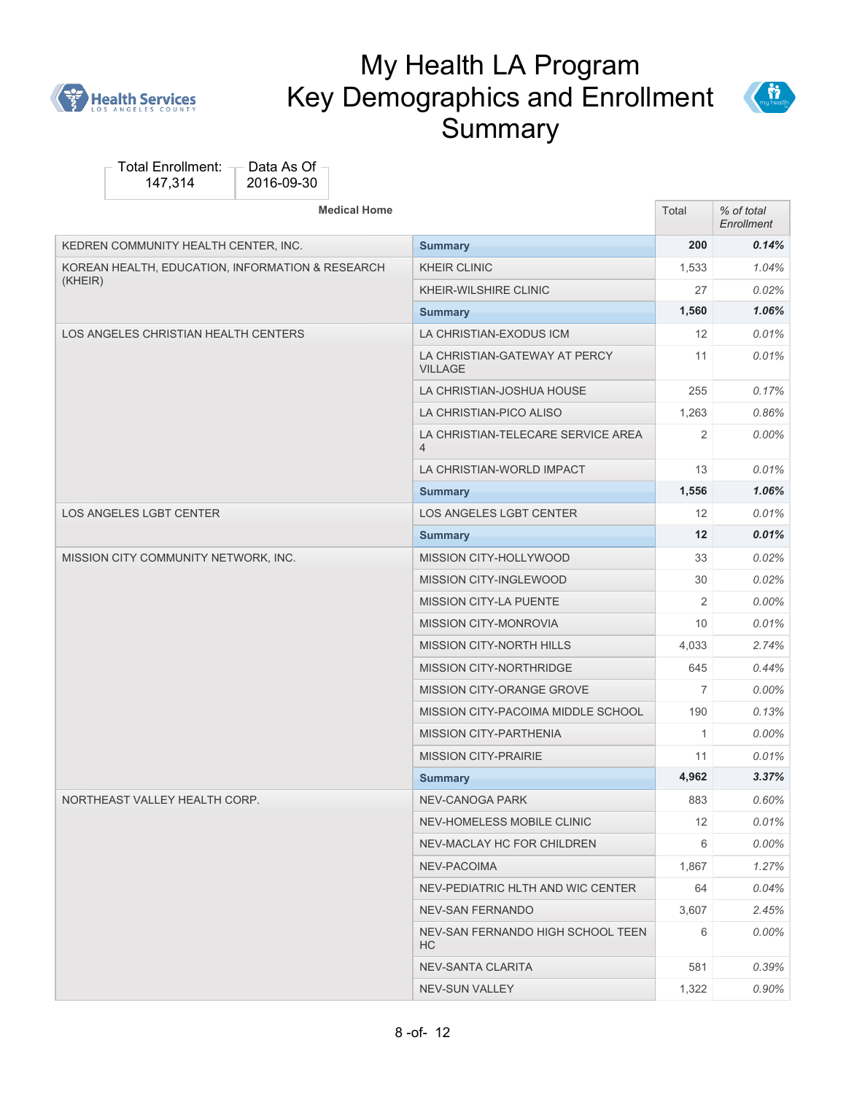



| <b>Medical Home</b>                              |                                                      | Total             | % of total<br>Enrollment |
|--------------------------------------------------|------------------------------------------------------|-------------------|--------------------------|
| KEDREN COMMUNITY HEALTH CENTER, INC.             | <b>Summary</b>                                       | 200               | 0.14%                    |
| KOREAN HEALTH, EDUCATION, INFORMATION & RESEARCH | <b>KHEIR CLINIC</b>                                  | 1,533             | 1.04%                    |
| (KHEIR)                                          | KHEIR-WILSHIRE CLINIC                                | 27                | 0.02%                    |
|                                                  | <b>Summary</b>                                       | 1,560             | 1.06%                    |
| LOS ANGELES CHRISTIAN HEALTH CENTERS             | LA CHRISTIAN-EXODUS ICM                              | 12                | 0.01%                    |
|                                                  | LA CHRISTIAN-GATEWAY AT PERCY<br><b>VILLAGE</b>      | 11                | $0.01\%$                 |
|                                                  | LA CHRISTIAN-JOSHUA HOUSE                            | 255               | 0.17%                    |
|                                                  | LA CHRISTIAN-PICO ALISO                              | 1,263             | 0.86%                    |
|                                                  | LA CHRISTIAN-TELECARE SERVICE AREA<br>$\overline{4}$ | 2                 | $0.00\%$                 |
|                                                  | LA CHRISTIAN-WORLD IMPACT                            | 13                | 0.01%                    |
|                                                  | <b>Summary</b>                                       | 1,556             | 1.06%                    |
| <b>LOS ANGELES LGBT CENTER</b>                   | <b>LOS ANGELES LGBT CENTER</b>                       | 12                | 0.01%                    |
|                                                  | <b>Summary</b>                                       | $12 \overline{ }$ | 0.01%                    |
| MISSION CITY COMMUNITY NETWORK, INC.             | MISSION CITY-HOLLYWOOD                               | 33                | 0.02%                    |
|                                                  | MISSION CITY-INGLEWOOD                               | 30                | $0.02\%$                 |
|                                                  | <b>MISSION CITY-LA PUENTE</b>                        | 2                 | $0.00\%$                 |
|                                                  | <b>MISSION CITY-MONROVIA</b>                         | 10                | $0.01\%$                 |
|                                                  | <b>MISSION CITY-NORTH HILLS</b>                      | 4,033             | 2.74%                    |
|                                                  | MISSION CITY-NORTHRIDGE                              | 645               | 0.44%                    |
|                                                  | MISSION CITY-ORANGE GROVE                            | $\overline{7}$    | $0.00\%$                 |
|                                                  | MISSION CITY-PACOIMA MIDDLE SCHOOL                   | 190               | 0.13%                    |
|                                                  | <b>MISSION CITY-PARTHENIA</b>                        | $\mathbf{1}$      | $0.00\%$                 |
|                                                  | <b>MISSION CITY-PRAIRIE</b>                          | 11                | $0.01\%$                 |
|                                                  | <b>Summary</b>                                       | 4,962             | 3.37%                    |
| NORTHEAST VALLEY HEALTH CORP.                    | <b>NEV-CANOGA PARK</b>                               | 883               | 0.60%                    |
|                                                  | NEV-HOMELESS MOBILE CLINIC                           | 12                | 0.01%                    |
|                                                  | NEV-MACLAY HC FOR CHILDREN                           | 6                 | $0.00\%$                 |
|                                                  | NEV-PACOIMA                                          | 1,867             | 1.27%                    |
|                                                  | NEV-PEDIATRIC HLTH AND WIC CENTER                    | 64                | 0.04%                    |
|                                                  | <b>NEV-SAN FERNANDO</b>                              | 3,607             | 2.45%                    |
|                                                  | NEV-SAN FERNANDO HIGH SCHOOL TEEN<br>HC.             | 6                 | 0.00%                    |
|                                                  | NEV-SANTA CLARITA                                    | 581               | 0.39%                    |
|                                                  | NEV-SUN VALLEY                                       | 1,322             | 0.90%                    |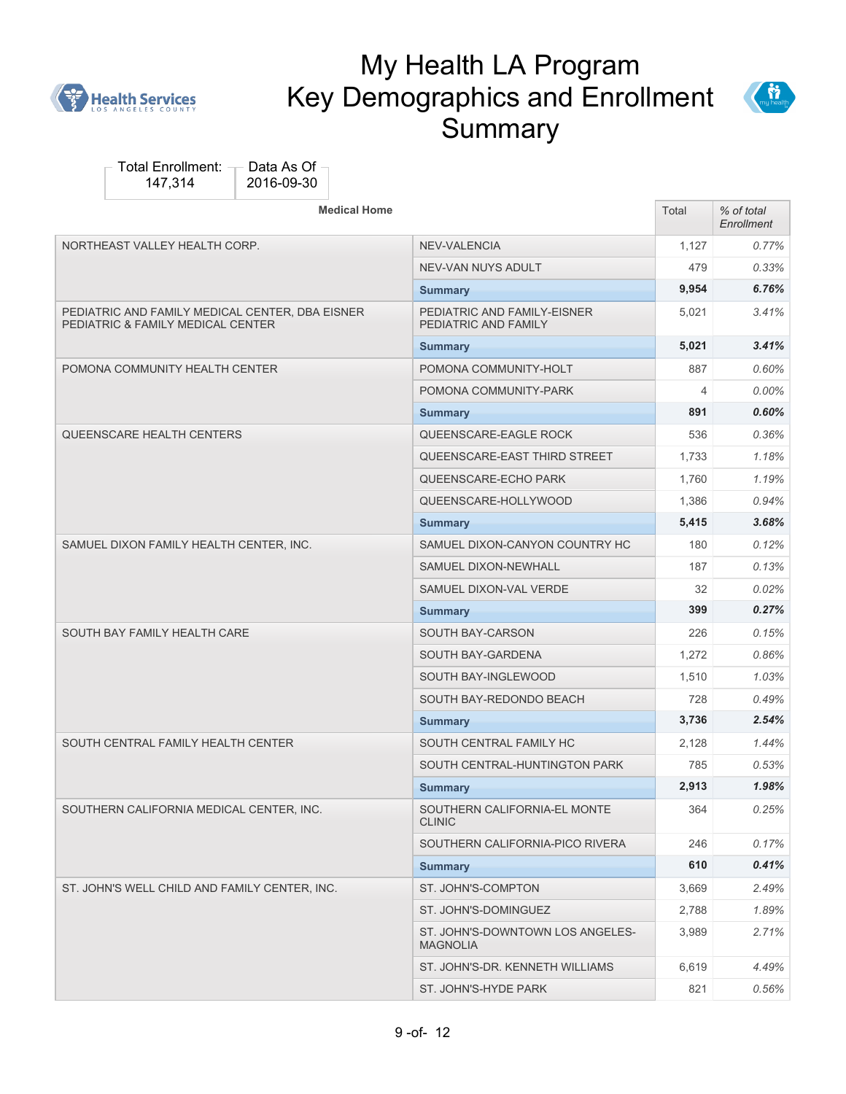



| <b>Medical Home</b>                                                                  |                                                     | Total          | % of total<br>Enrollment |
|--------------------------------------------------------------------------------------|-----------------------------------------------------|----------------|--------------------------|
| NORTHEAST VALLEY HEALTH CORP.                                                        | NEV-VALENCIA                                        | 1,127          | 0.77%                    |
|                                                                                      | NEV-VAN NUYS ADULT                                  | 479            | 0.33%                    |
|                                                                                      | <b>Summary</b>                                      | 9,954          | 6.76%                    |
| PEDIATRIC AND FAMILY MEDICAL CENTER, DBA EISNER<br>PEDIATRIC & FAMILY MEDICAL CENTER | PEDIATRIC AND FAMILY-EISNER<br>PEDIATRIC AND FAMILY | 5,021          | 3.41%                    |
|                                                                                      | <b>Summary</b>                                      | 5,021          | 3.41%                    |
| POMONA COMMUNITY HEALTH CENTER                                                       | POMONA COMMUNITY-HOLT                               | 887            | 0.60%                    |
|                                                                                      | POMONA COMMUNITY-PARK                               | $\overline{4}$ | $0.00\%$                 |
|                                                                                      | <b>Summary</b>                                      | 891            | 0.60%                    |
| QUEENSCARE HEALTH CENTERS                                                            | QUEENSCARE-EAGLE ROCK                               | 536            | 0.36%                    |
|                                                                                      | QUEENSCARE-EAST THIRD STREET                        | 1,733          | 1.18%                    |
|                                                                                      | QUEENSCARE-ECHO PARK                                | 1,760          | 1.19%                    |
|                                                                                      | QUEENSCARE-HOLLYWOOD                                | 1,386          | 0.94%                    |
|                                                                                      | <b>Summary</b>                                      | 5,415          | 3.68%                    |
| SAMUEL DIXON FAMILY HEALTH CENTER, INC.                                              | SAMUEL DIXON-CANYON COUNTRY HC                      | 180            | 0.12%                    |
|                                                                                      | SAMUEL DIXON-NEWHALL                                | 187            | 0.13%                    |
|                                                                                      | SAMUEL DIXON-VAL VERDE                              | 32             | 0.02%                    |
|                                                                                      | <b>Summary</b>                                      | 399            | 0.27%                    |
| SOUTH BAY FAMILY HEALTH CARE                                                         | SOUTH BAY-CARSON                                    | 226            | 0.15%                    |
|                                                                                      | SOUTH BAY-GARDENA                                   | 1,272          | 0.86%                    |
|                                                                                      | SOUTH BAY-INGLEWOOD                                 | 1,510          | 1.03%                    |
|                                                                                      | SOUTH BAY-REDONDO BEACH                             | 728            | 0.49%                    |
|                                                                                      | <b>Summary</b>                                      | 3,736          | 2.54%                    |
| SOUTH CENTRAL FAMILY HEALTH CENTER                                                   | SOUTH CENTRAL FAMILY HC                             | 2,128          | 1.44%                    |
|                                                                                      | SOUTH CENTRAL-HUNTINGTON PARK                       | 785            | 0.53%                    |
|                                                                                      | <b>Summary</b>                                      | 2,913          | 1.98%                    |
| SOUTHERN CALIFORNIA MEDICAL CENTER, INC.                                             | SOUTHERN CALIFORNIA-EL MONTE<br><b>CLINIC</b>       | 364            | 0.25%                    |
|                                                                                      | SOUTHERN CALIFORNIA-PICO RIVERA                     | 246            | 0.17%                    |
|                                                                                      | <b>Summary</b>                                      | 610            | 0.41%                    |
| ST. JOHN'S WELL CHILD AND FAMILY CENTER, INC.                                        | ST. JOHN'S-COMPTON                                  | 3,669          | 2.49%                    |
|                                                                                      | ST. JOHN'S-DOMINGUEZ                                | 2,788          | 1.89%                    |
|                                                                                      | ST. JOHN'S-DOWNTOWN LOS ANGELES-<br><b>MAGNOLIA</b> | 3,989          | 2.71%                    |
|                                                                                      | ST. JOHN'S-DR. KENNETH WILLIAMS                     | 6,619          | 4.49%                    |
|                                                                                      | ST. JOHN'S-HYDE PARK                                | 821            | $0.56\%$                 |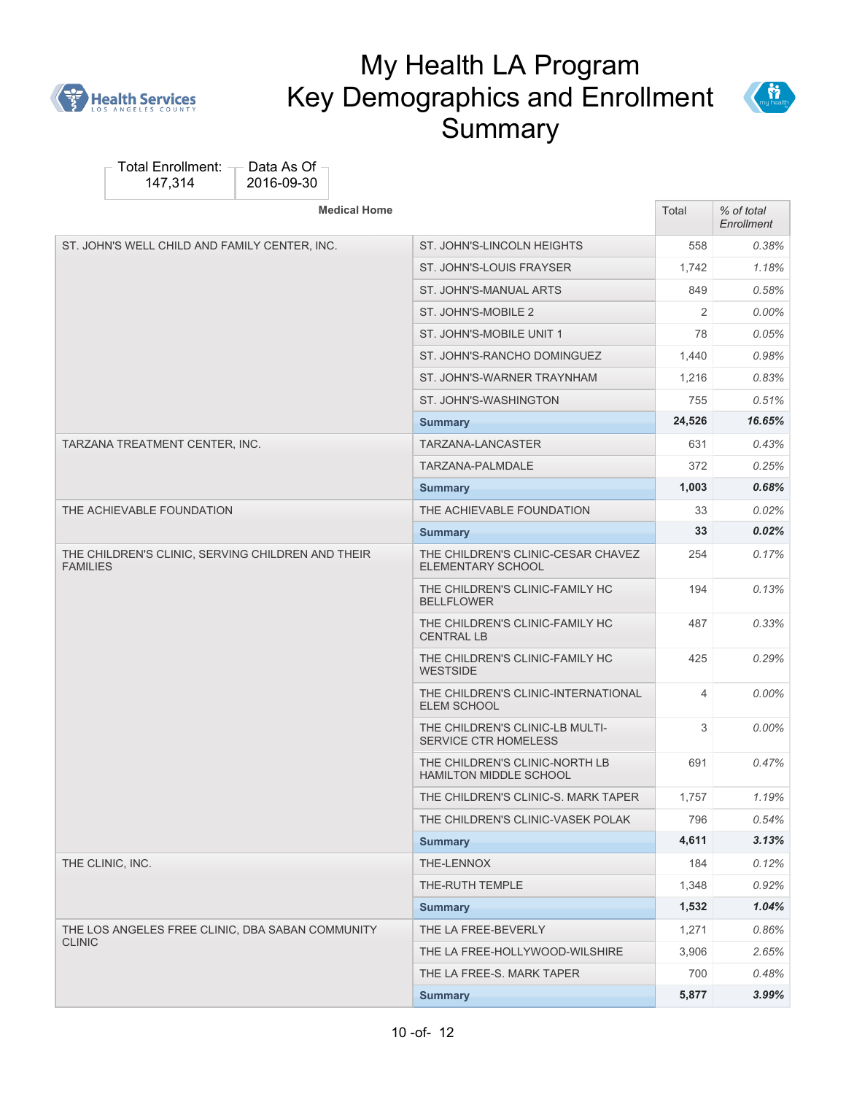



| <b>Medical Home</b>                                                  |                                                                | Total  | % of total<br>Enrollment |
|----------------------------------------------------------------------|----------------------------------------------------------------|--------|--------------------------|
| ST. JOHN'S WELL CHILD AND FAMILY CENTER, INC.                        | ST. JOHN'S-LINCOLN HEIGHTS                                     | 558    | 0.38%                    |
|                                                                      | ST. JOHN'S-LOUIS FRAYSER                                       | 1,742  | 1.18%                    |
|                                                                      | ST. JOHN'S-MANUAL ARTS                                         | 849    | 0.58%                    |
|                                                                      | ST. JOHN'S-MOBILE 2                                            | 2      | $0.00\%$                 |
|                                                                      | ST. JOHN'S-MOBILE UNIT 1                                       | 78     | 0.05%                    |
|                                                                      | ST. JOHN'S-RANCHO DOMINGUEZ                                    | 1,440  | 0.98%                    |
|                                                                      | ST. JOHN'S-WARNER TRAYNHAM                                     | 1,216  | 0.83%                    |
|                                                                      | ST. JOHN'S-WASHINGTON                                          | 755    | 0.51%                    |
|                                                                      | <b>Summary</b>                                                 | 24,526 | 16.65%                   |
| TARZANA TREATMENT CENTER, INC.                                       | TARZANA-LANCASTER                                              | 631    | 0.43%                    |
|                                                                      | TARZANA-PALMDALE                                               | 372    | 0.25%                    |
|                                                                      | <b>Summary</b>                                                 | 1,003  | 0.68%                    |
| THE ACHIEVABLE FOUNDATION                                            | THE ACHIEVABLE FOUNDATION                                      | 33     | $0.02\%$                 |
|                                                                      | <b>Summary</b>                                                 | 33     | $0.02\%$                 |
| THE CHILDREN'S CLINIC, SERVING CHILDREN AND THEIR<br><b>FAMILIES</b> | THE CHILDREN'S CLINIC-CESAR CHAVEZ<br><b>ELEMENTARY SCHOOL</b> | 254    | $0.17\%$                 |
|                                                                      | THE CHILDREN'S CLINIC-FAMILY HC<br><b>BELLFLOWER</b>           | 194    | 0.13%                    |
|                                                                      | THE CHILDREN'S CLINIC-FAMILY HC<br><b>CENTRAL LB</b>           | 487    | 0.33%                    |
|                                                                      | THE CHILDREN'S CLINIC-FAMILY HC<br><b>WESTSIDE</b>             | 425    | 0.29%                    |
|                                                                      | THE CHILDREN'S CLINIC-INTERNATIONAL<br><b>ELEM SCHOOL</b>      | 4      | $0.00\%$                 |
|                                                                      | THE CHILDREN'S CLINIC-LB MULTI-<br><b>SERVICE CTR HOMELESS</b> | 3      | $0.00\%$                 |
|                                                                      | THE CHILDREN'S CLINIC-NORTH LB<br>HAMILTON MIDDLE SCHOOL       | 691    | 0.47%                    |
|                                                                      | THE CHILDREN'S CLINIC-S. MARK TAPER                            | 1,757  | 1.19%                    |
|                                                                      | THE CHILDREN'S CLINIC-VASEK POLAK                              | 796    | 0.54%                    |
|                                                                      | <b>Summary</b>                                                 | 4,611  | 3.13%                    |
| THE CLINIC, INC.                                                     | THE-LENNOX                                                     | 184    | 0.12%                    |
|                                                                      | THE-RUTH TEMPLE                                                | 1,348  | 0.92%                    |
|                                                                      | <b>Summary</b>                                                 | 1,532  | 1.04%                    |
| THE LOS ANGELES FREE CLINIC, DBA SABAN COMMUNITY                     | THE LA FREE-BEVERLY                                            | 1,271  | 0.86%                    |
| <b>CLINIC</b>                                                        | THE LA FREE-HOLLYWOOD-WILSHIRE                                 | 3,906  | 2.65%                    |
|                                                                      | THE LA FREE-S. MARK TAPER                                      | 700    | 0.48%                    |
|                                                                      | <b>Summary</b>                                                 | 5,877  | 3.99%                    |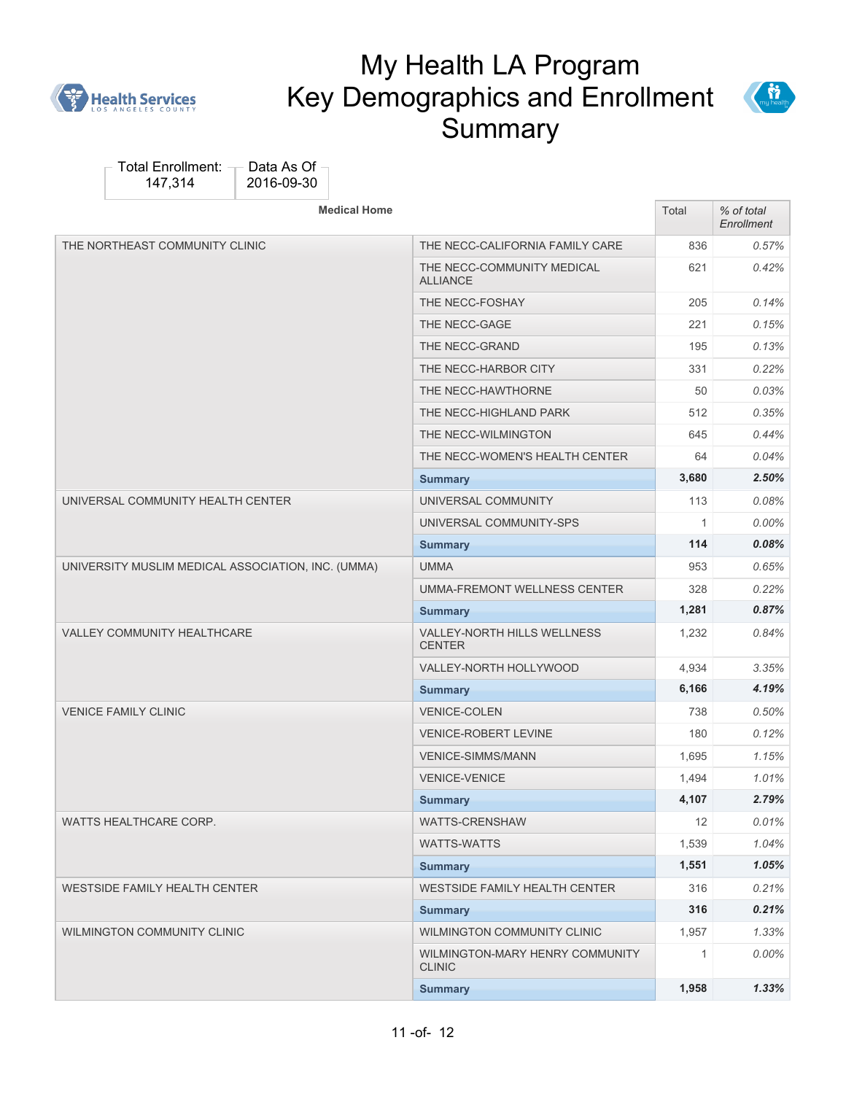



| <b>Medical Home</b>                                |                                                     | Total        | % of total<br>Enrollment |
|----------------------------------------------------|-----------------------------------------------------|--------------|--------------------------|
| THE NORTHEAST COMMUNITY CLINIC                     | THE NECC-CALIFORNIA FAMILY CARE                     | 836          | $0.57\%$                 |
|                                                    | THE NECC-COMMUNITY MEDICAL<br><b>ALLIANCE</b>       | 621          | $0.42\%$                 |
|                                                    | THE NECC-FOSHAY                                     | 205          | $0.14\%$                 |
|                                                    | THE NECC-GAGE                                       | 221          | 0.15%                    |
|                                                    | THE NECC-GRAND                                      | 195          | 0.13%                    |
|                                                    | THE NECC-HARBOR CITY                                | 331          | 0.22%                    |
|                                                    | THE NECC-HAWTHORNE                                  | 50           | 0.03%                    |
|                                                    | THE NECC-HIGHLAND PARK                              | 512          | $0.35\%$                 |
|                                                    | THE NECC-WILMINGTON                                 | 645          | $0.44\%$                 |
|                                                    | THE NECC-WOMEN'S HEALTH CENTER                      | 64           | $0.04\%$                 |
|                                                    | <b>Summary</b>                                      | 3,680        | 2.50%                    |
| UNIVERSAL COMMUNITY HEALTH CENTER                  | UNIVERSAL COMMUNITY                                 | 113          | 0.08%                    |
|                                                    | UNIVERSAL COMMUNITY-SPS                             | $\mathbf{1}$ | $0.00\%$                 |
|                                                    | <b>Summary</b>                                      | 114          | $0.08\%$                 |
| UNIVERSITY MUSLIM MEDICAL ASSOCIATION, INC. (UMMA) | <b>UMMA</b>                                         | 953          | 0.65%                    |
|                                                    | UMMA-FREMONT WELLNESS CENTER                        | 328          | 0.22%                    |
|                                                    | <b>Summary</b>                                      | 1,281        | 0.87%                    |
| <b>VALLEY COMMUNITY HEALTHCARE</b>                 | <b>VALLEY-NORTH HILLS WELLNESS</b><br><b>CENTER</b> | 1,232        | 0.84%                    |
|                                                    | VALLEY-NORTH HOLLYWOOD                              | 4,934        | 3.35%                    |
|                                                    | <b>Summary</b>                                      | 6,166        | 4.19%                    |
| <b>VENICE FAMILY CLINIC</b>                        | <b>VENICE-COLEN</b>                                 | 738          | $0.50\%$                 |
|                                                    | <b>VENICE-ROBERT LEVINE</b>                         | 180          | 0.12%                    |
|                                                    | <b>VENICE-SIMMS/MANN</b>                            | 1,695        | 1.15%                    |
|                                                    | <b>VENICE-VENICE</b>                                | 1,494        | 1.01%                    |
|                                                    | <b>Summary</b>                                      | 4,107        | 2.79%                    |
| WATTS HEALTHCARE CORP.                             | WATTS-CRENSHAW                                      | 12           | 0.01%                    |
|                                                    | WATTS-WATTS                                         | 1,539        | 1.04%                    |
|                                                    | <b>Summary</b>                                      | 1,551        | 1.05%                    |
| <b>WESTSIDE FAMILY HEALTH CENTER</b>               | <b>WESTSIDE FAMILY HEALTH CENTER</b>                | 316          | 0.21%                    |
|                                                    | <b>Summary</b>                                      | 316          | 0.21%                    |
| <b>WILMINGTON COMMUNITY CLINIC</b>                 | WILMINGTON COMMUNITY CLINIC                         | 1,957        | 1.33%                    |
|                                                    | WILMINGTON-MARY HENRY COMMUNITY<br><b>CLINIC</b>    | $\mathbf{1}$ | $0.00\%$                 |
|                                                    | <b>Summary</b>                                      | 1,958        | 1.33%                    |